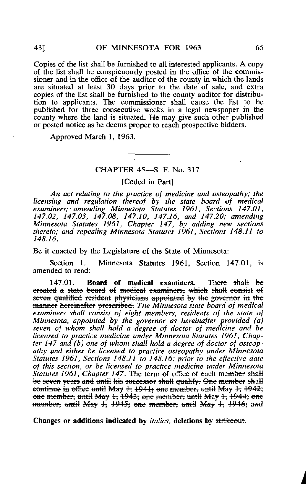Copies of the list shall be furnished to all interested applicants. A copy of the list shall be conspicuously posted in the office of the commissioner and in the office of the auditor of the county in which the lands are situated at least 30 days prior to the date of sale, and extra copies of the list shall be furnished to the county auditor for distribution to applicants. The commissioner shall cause the list to be published for three consecutive weeks in a legal newspaper in the county where the land is situated. He may give such other published or posted notice as he deems proper to reach prospective bidders.

Approved March 1, 1963.

## CHAPTER 45—S. F. No. 317

[Coded in Part]

An act relating to the practice of medicine and osteopathy; the licensing and regulation thereof by the state board of medical examiners; amending Minnesota Statutes 1961, Sections 147.01, 147.02, 147.03, 147.08, 147.10, 147.16, and 147.20; amending Minnesota Statutes 1961, Chapter 147, by adding new sections thereto; and repealing Minnesota Statutes 1961, Sections 148.11 to 148.16.

Be it enacted by the Legislature of the State of Minnesota:

Section 1. Minnesota Statutes 1961, Section 147.01, is amended to read:

147.01. Board of medical examiners. There shall be ereated a state board of medical examiners, which shall consist of seven qualified resident physicians appointed by the governor in the manner hereinafter preseribed. The Minnesota state board of medical examiners shall consist of eight members, residents of the state of Minnesota, appointed by the governor as hereinafter provided (a) seven of whom shall hold a degree of doctor of medicine and be licensed to practice medicine under Minnesota Statutes 1961, Chapter 147 and (b) one of whom shall hold a degree of doctor of osteopathy and either be licensed to practice osteopathy under Minnesota Statutes 1961, Sections 148.11 to 148.16; prior to the effective date of this section, or be licensed to practice medicine under Minnesota Statutes 1961, Chapter 147. The term of office of each member shall be seven years and until his successor shall qualify. One member shall continue in office until May  $+$ ; 1941; one member, until May  $+$ ; 1942; one member, until May  $1, 1943$ ; one member, until May  $1, 1944$ ; one member; until May  $\pm$ ; 1945; one member, until May  $\pm$ ; 1946; and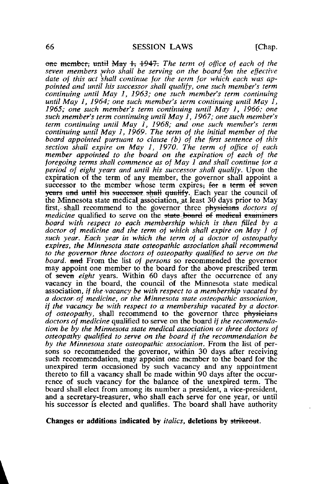one member, until May  $\pm$  4947. The term of office of each of the seven members who shall be serving on the board on the effective date of this act shall continue for the term for which each was appointed and until his successor shall qualify, one such member's term continuing until May 1, 1963; one such member's term continuing until May 1, 1964; one such member's term continuing until May  $\tilde{l}$ , 1965; one such member's term continuing until May 1, 1966; one such member's term continuing until May  $\tilde{I}$ , 1967; one such member's term continuing until May  $\overrightarrow{I}$ , 1968; and one such member's term continuing until May 1, 1969. The term of the initial member of the board appointed pursuant to clause (b) of the first sentence of this section shall expire on May 1, 1970. The term of office of each member appointed to the board on the expiration of each of the foregoing terms shall commence as of May 1 and shall continue for a period of eight years and until his successor shall Qualify. Upon the expiration of the term of any member, the governor shall appoint a successor to the member whose term expires. For a term  $\hat{ef}$  seven years and until his successor, shall qualify. Each year the council of the Minnesota state medical association, at least  $30$  days prior to May first, shall recommend to the governor three physicians *doctors of medicine* qualified to serve on the state board of medical examiners board with respect to each membership which is then filled by a doctor of medicine and the term of which shall expire on May 1 of such year. Each year in which the term of a doctor of osteopathy expires, the Minnesota state osteopathic association shall recommend to the governor three doctors of osteopathy qualified to serve on the board, and From the list of persons so recommended the governor may appoint one member to the board for the above prescribed term of seven *eight* years. Within 60 days after the occurrence of any vacancy in the board, the council of the Minnesota state medical association, if the vacancy be with respect to a membership vacated by a doctor of medicine, or the Minnesota state osteopathic association, if the vacancy be with respect to a membership vacated by a doctor, of osteopathy, shall recommend to the governor three physicians doctors of medicine qualified to serve on the board if the recommendation be by the Minnesota state medical association or three doctors of osteopathy qualified to serve on the board if the recommendation be by the Minnesota state osteopathic association. From the list of persons so recommended the governor, within 30 days after receiving such recommendation, may appoint one member to the board for the unexpired term occasioned by such vacancy and any appointment thereto to fill a vacancy shall be made within 90 days after the occurrence of such vacancy for the balance of the unexpired term. The board shall elect from among its number a president, a vice-president, and a secretary-treasurer, who shall each serve for one year, or until his successor is elected and qualifies. The board shall have authority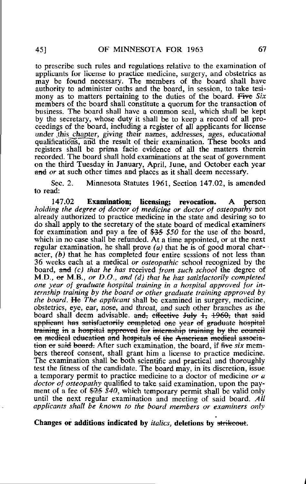to prescribe such rules and regulations relative to the examination of applicants for license to practice medicine, surgery, and obstetrics as may be found necessary. The members of the board shall have authority to administer oaths and the board, in session, to take tesimony as to matters pertaining to the duties of the board. Five Six members of the board shall constitute a quorum for the transaction of business. The board shall have a common seal, which shall be kept by the secretary, whose duty it shall be to keep a record of all proceedings of the board, including a register of all applicants for license under this chapter, giving their names, addresses, ages, educational qualifications, and the result of their examination. These books and registers shall be prima facie evidence of all the matters therein recorded. The board shall hold examinations at the seat of government on the third Tuesday in January, April, June, and October each year and or at such other times and places as it shall deem necessary.

Sec. 2. Minnesota Statutes 1961, Section 147.02, is amended to read:

147.02 Examination; licensing; revocation. A person holding the degree of doctor of medicine or doctor of osteopathy not already authorized to practice medicine in the state and desiring so to do shall apply to the secretary of the state board of medical examiners for examination and pay a fee of  $\frac{235}{100}$  for the use of the board, which in no case shall be refunded. At a time appointed, or at the next regular examination, he shall prove (a) that he is of good moral character,  $(b)$  that he has completed four entire sessions of not less than 36 weeks each at a medical or osteopathic school recognized by the board, and (c) that he has received from such school the degree of M.D.,  $er M.B., or D.O., and (d) that he has satisfactory completed$ one year of graduate hospital training in a hospital approved for internship training by the board or other graduate training approved by the board. He The applicant shall be examined in surgery, medicine, obstetrics, eye, ear, nose, and throat, and such other branches as the board shall deem advisable. and, effective July  $1, 1960$ , that said applicant has satisfactorily completed one year of graduate hospital training in a hospital approved for internship training by the council on medical education and hospitals of the American medical association or said board. After such examination, the board, if five six members thereof consent, shall grant him a license to practice medicine. The examination shall be both scientific and practical and thoroughly test the fitness of the candidate. The board may, in its discretion, issue a temporary permit to practice medicine to a doctor of medicine or a doctor of osteopathy qualified to take said examination, upon the payment of a fee of  $\frac{25}{540}$ , which temporary permit shall be valid only until the next regular examination and meeting of said board. All applicants shall be known to the board members or examiners only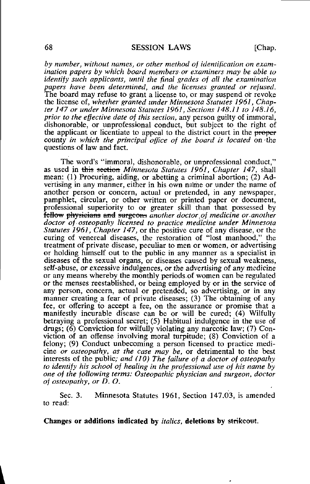by number, without names, or other method of identification on examination papers by which board members or examiners may be able to identify such applicants, until the final grades of all the examination papers have been determined, and the licenses granted or refused. The board may refuse to grant a license to, or may suspend or revoke the license of, whether granted under Minnesota Statutes 1961, Chapter 147 or under Minnesota Statutes 1961, Sections 148.11 to 148.16, prior to the effective date of this section, any person guilty of immoral, dishonorable, or unprofessional conduct, but subject to the right of the applicant or licentiate to appeal to the district court in the proper county in which the principal office of the board is located on the questions of law and fact.

The word's "immoral, dishonorable, or unprofessional conduct," as used in this section Minnesota Statutes 1961, Chapter 147, shall mean: (1) Procuring, aiding, or abetting a criminal abortion; (2) Advertising in any manner, either in his own name or under the name of another person or concern, actual or pretended, in any newspaper, pamphlet, circular, or other written or printed paper or document, professional superiority to or greater skill than that possessed by fellow physicians and surgeons another doctor of medicine or another doctor of osteopathy licensed to practice medicine under Minnesota Statutes 1961, Chapter 147, or the positive cure of any disease, or the curing of venereal diseases, the restoration of "lost manhood," the treatment of private disease, peculiar to men or women, or advertising or holding himself out to the public in any manner as a specialist in diseases of the sexual organs, or diseases caused by sexual weakness, self-abuse, or excessive indulgences, or the advertising of any medicine or any means whereby the monthly periods.of women can be regulated or the menses reestablished, or being employed by or in the service of any person, concern, actual or pretended, so advertising, or in any manner creating a fear of private diseases; (3) The obtaining of any fee, or offering to accept a fee, on the assurance or promise that a manifestly incurable disease can be or will be cured; (4) Wilfully betraying a professional secret; (5) Habitual indulgence in the use of drugs;  $(6)$  Conviction for wilfully violating any narcotic law;  $(7)$  Conviction of an offense involving moral turpitude; (8) Conviction of a felony; (9) Conduct unbecoming a person licensed to practice medicine or osteopathy, as the case may be, or detrimental to the best interests of the public; and (10) The failure of a doctor of osteopathy to identify his school of healing in the professional use of his name by one of the following terms: Osteopathic physician and surgeon, doctor of osteopathy, or D. O.

Sec. 3. Minnesota Statutes 1961, Section 147.03, is amended to read: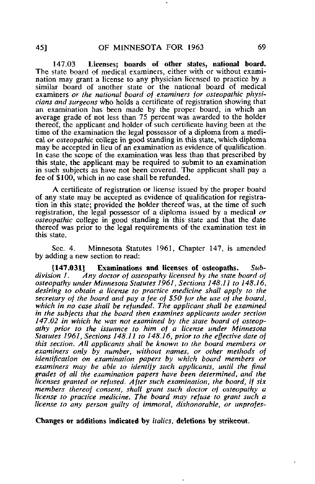147.03 Licenses; boards of other states, national board. The state board of medical examiners, either with or without examination may grant a license to any physician licensed to practice by a similar board of another state or the national board of medical examiners or the national board of examiners for osteopathic physicians and surgeons who holds a certificate of registration showing that an examination has been made by the proper board, in which an average grade of not less than 75 percent was awarded to the holder thereof, the applicant and holder of such certificate having been at the time of the examination the legal possessor of a diploma from a medical or osteopathic college in good standing in this state, which diploma may be accepted in lieu of an examination as evidence of qualification. In case the scope of the examination was less than that prescribed by this state, the applicant may be required to submit to an examination in such subjects as have not been covered. The applicant shall pay a fee of \$100, which in no case shall be refunded.

A certificate of registration or license issued by the proper board of any state may be accepted as evidence of qualification for registration in this state; provided the holder thereof was, at the time of such registration, the legal possessor of a diploma issued by a medical or osteopathic college in good standing in this state and that the date thereof was prior to the legal requirements of the examination test in this state.

Sec. 4. Minnesota Statutes 1961, Chapter 147, is amended by adding a new section to read:

[147.031] Examinations and licenses of osteopaths. Sub-<br>division 1. Any doctor of osteopathy licensed by the state board of Any doctor of osteopathy licensed by the state board of osteopathy under Minnesota Statutes 1961, Sections 148,11 to 148.16, desiring to obtain a license to practice medicine shall apply to the secretary of the board and pay a fee of \$50 for the use of the board. which in no case shall be refunded. The applicant shall be examined in the subjects that the board then examines applicants under section 147.02 in which he was not examined by the state board of osteopathy prior to the issuance to him of a license under Minnesota Statutes 1961, Sections 148,11 to 148.16, prior to the effective date of this section. All applicants shall be known to the board members or examiners only by number, without names, or other methods of identification on examination papers by which board members or examiners may be able to identify such applicants, until the final grades of all the examination papers have been determined, and the licenses granted or refused. After such examination, the board, if six members thereof consent, shall grant such doctor of osteopathy a license to practice medicine. The board may refuse to grant such a license to any person guilty of immoral, dishonorable, or unprofes-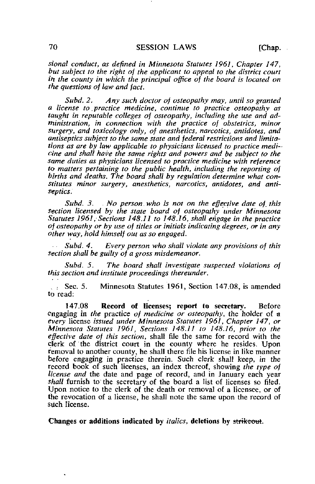sional conduct, as defined in Minnesota Statutes 1961, Chapter 147, but subject to the right of the applicant to appeal to the district court in the county in which the principal office of the board is located on the questions of law and fact.

Subd. 2. Any such doctor of osteopathy may, until so granted a license to.practice medicine, continue to practice osteopathy as taught in reputable colleges of osteopathy, including the use and administration, in connection with the practice of obstetrics, minor surgery, and toxicology only, of anesthetics, narcotics, antidotes, and antiseptics subject to the same state and federal restrictions and limitations as are by law applicable to physicians licensed to practice medicine and shall have the same rights and powers and be subject to the same duties as physicians licensed to practice medicine with reference to matters pertaining to the public health, including the reporting of births and deaths. The board shall by regulation determine what constitutes minor surgery, anesthetics, narcotics, antidotes, and antiseptics.

Subd. 3. No person who is not on the effective date of this section licensed by the state board of osteopathy under Minnesota Statutes 1961, Sections 148.11 to 148.16, shall engage in the practice of osteopathy or by use of titles or initials indicating degrees, or in any other way, hold himself out as so engaged.

Subd. 4. Every person who shall violate any provisions of this section shall be guilty of a gross misdemeanor.

Subd. 5. The board shall investigate suspected violations of this section and institute proceedings thereunder.

.. : Sec. 5. Minnesota Statutes 1961, Section 147.08, is amended to read:

147.08 Record of licenses; report to secretary. Before engaging in the practice of medicine or osteopathy, the holder of a every license issued under Minnesota Statutes 1961, Chapter 147, or Minnesota Statutes 1961, Sections 148.11 to 148.16, prior to the effective date of this section, shall file the same for record with the clerk of the district court in the county where he resides. Upon removal to another county, he shall there file his license in like manner before engaging in practice therein. Such clerk shall keep, in the record book of such licenses, an index thereof, showing the type of license and the date and page of record, and in January each year shall furnish to the secretary of the board a list of licenses so filed. Upon notice to the clerk of the death or removal of a licensee, or of the revocation of a license, he shall note the same upon the record of such license.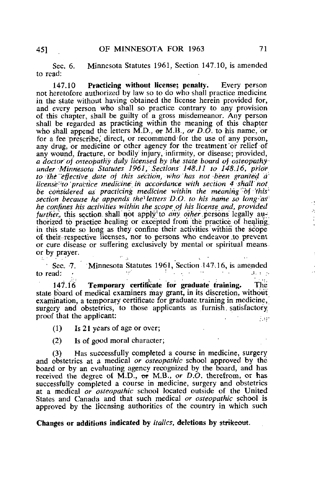Sec. 6. Minnesota Statutes 1961, Section 147.10, is amended to read:

147.10 Practicing without license; penalty. Every person not heretofore authorized by law so to do who shall practice medicine in the state without having obtained the license herein provided for, and every person who shall so practice contrary to any provision of this chapter, shall be guilty of a gross misdemeanor. Any person shall be regarded as practicing within the meaning of this chapter who shall append the letters M.D., or M.B., or D.O. to his name, or for a fee prescribe, direct, or recommend for the use of any person, any drug, or medicine or other agency for the treatment'or relief of any wound, fracture, or bodily injury, infirmity, or disease; provided, a doctor of osteopathy duly licensed by the state board of osteopathy under Minnesota Statutes 1961, Sections 148.11 to 148.16, prior to'the effective date oj this section, who has hot been granted a license<sup>cto</sup> practice medicine in accordance with section 4 shall not be considered as practicing medicine within the meaning of this section because he appends the letters  $D.O.$  to his name so long as he confines his activities within the scope of his license and, provided further, this section shall not apply<sup>3</sup> to *any other* persons legally authorized to practice healing or excepted from the practice of healing in this state so long as they confine their activities within the scope of their:;respective licenses, nor to persons who endeavor,to prevent or cure disease or suffering exclusively by mental or spiritual means or by prayer.

Sec. 7. Minnesota Statutes 1961, Section 147.16, is amended to read: : .

147.16 Temporary certificate for graduate training. The state board of medical examiners may grant, in its discretion, without examination, a temporary certificate for graduate training in medicine, surgery and obstetrics, to those applicants as furnish satisfactory proof that the applicant:  $\mathbf{r} = \mathbf{r} \cdot \mathbf{r}$ 

(1) Is 21 years of age or over;

(2) Is of good moral character;

(3) Has successfully completed a course in medicine, surgery and obstetrics at a medical *or osteopathic* school approved by the board or by an evaluating agency recognized by the board, and has received the degree of M.D., or M.B., or  $D.O.$  therefrom, or has successfully completed a course in medicine, surgery and obstetrics at a medical or osteopathic school located outside of the United States and Canada and that such medical or osteopathic school is approved by the licensing authorities of the country in which such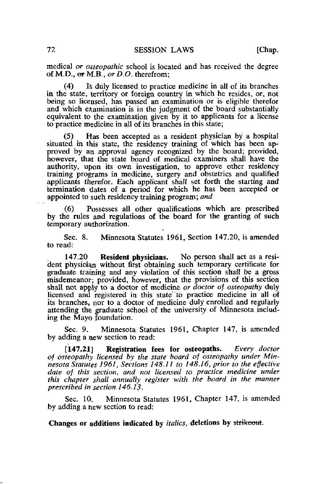medical *or osteopathic* school is located and has received the degree of M.D.,  $er M.B., or D.O.$  therefrom;

(4) Is duly licensed to practice medicine in ail of its branches in. the state, territory or foreign country in which he resides, or, not being so licensed, has passed an examination or is eligible therefor and which examination is in the judgment of the board substantially equivalent to the examination given by it to applicants for a license to practice medicine in all of its branches in this state;

(5) Has been accepted as a resident physician by a hospital situated in this state, the residency training of which has been approved by an approval agency recognized by the board; provided, however, that the state board of medical examiners shall have the authority, upon its own investigation, to approve other residency training programs in medicine, surgery and obstetrics and qualified applicants therefor. Each applicant shall set forth the starting and termination dates of a period for which he has been accepted or appointed to such residency training program; and

(6) Possesses all other qualifications which are prescribed by the rules and regulations of the board for the granting of such temporary authorization.

Sec. 8. Minnesota Statutes 1961, Section 147.20, is amended to read:

147.20 Resident physicians. No person shall act as a resident physician without first obtaining such temporary certificate for graduate training and any violation of this section shall be a gross misdemeanor; provided, however, that the provisions of this section shall not apply to a doctor of medicine or doctor of osteopathy duly licensed and registered in this state' to practice medicine in all of its branches, nor to a doctor of medicine duly enrolled and regularly attending the graduate school of the university of Minnesota including the Mayo foundation.

Sec. 9. Minnesota Statutes 1961, Chapter 147, is amended by adding a new section to read:

[147.21] Registration fees for osteopaths. Every doctor of osteopathy licensed by the state board of osteopathy under Minnesota Statutes 1961, Sections 148.11 to 148.16, prior to the effective date of this section, and not licensed to practice medicine under this chapter shall annually register with the board in the manner prescribed in section 146.13.

Sec. 10. Minnesota Statutes 1961, Chapter 147, is amended by adding a new section to read: